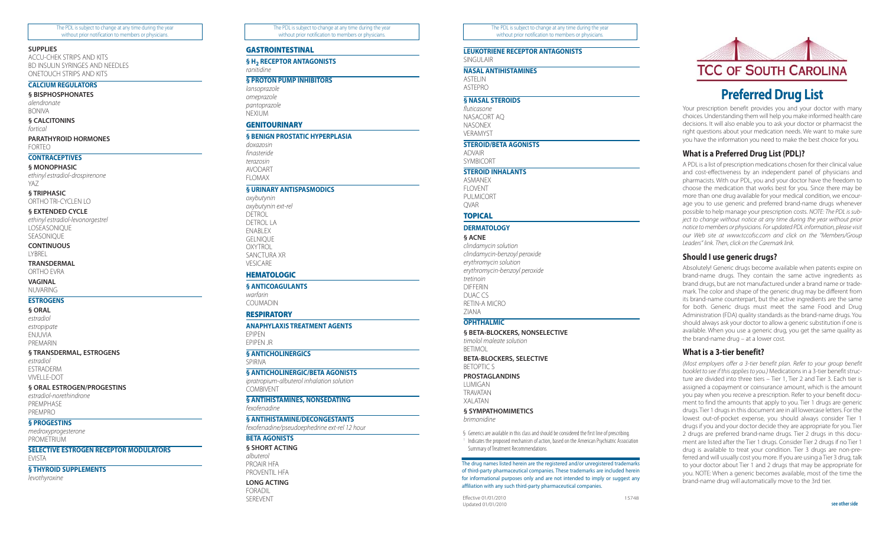The PDL is subject to change at any time during the year without prior notification to members or physicians.

#### **SUPPLIES**

ACCU-CHEK STRIPS AND KITS BD INSULIN SYRINGES AND NEEDLES ONETOUCH STRIPS AND KITS

# **CALCIUM REGULATORS**

**§ BISPHOSPHONATES** *alendronate* BONIVA

**§ CALCITONINS**

*fortical*

#### **PARATHYROID HORMONES**

FORTEO

# **CONTRACEPTIVES**

**§ MONOPHASIC** *ethinyl estradiol-drospirenone* YAZ

**§ TRIPHASIC**

ORTHO TRI-CYCLEN LO

# **§ EXTENDED CYCLE**

*ethinyl estradiol-levonorgestrel* LOSEASONIQUE SEASONIQUE

**CONTINUOUS LYRREL** 

#### **TRANSDERMAL**

ORTHO EVRA

# **VAGINAL**

NUVARING **ESTROGENS**

# **§ ORAL**

*estradiol estropipate* ENJUVIA PREMARIN

#### **§ TRANSDERMAL, ESTROGENS**

*estradiol* ESTRADERM VIVELLE-DOT

# **§ ORAL ESTROGEN/PROGESTINS**

*estradiol-norethindrone* PREMPHASE PREMPRO

# **§ PROGESTINS**

*medroxyprogesterone* PROMETRIUM

# **SELECTIVE ESTROGEN RECEPTOR MODULATORS** EVISTA

**§ THYROID SUPPLEMENTS**

*levothyroxine*

The PDL is subject to change at any time during the year without prior notification to members or physicians.

# **GASTROINTESTINAL**

**§ H2 RECEPTOR ANTAGONISTS**

*ranitidine*

# **§ PROTON PUMP INHIBITORS**

*lansoprazole omeprazole pantoprazole* **NEXIUM** 

# **GENITOURINARY**

# **§ BENIGN PROSTATIC HYPERPLASIA**

```
doxazosin
finasteride
terazosin
AVODART
```
FLOMAX

# **§ URINARY ANTISPASMODICS**

*oxybutynin oxybutynin ext-rel* DETROL DETROL LA ENABLEX GELNIQUE OXYTROL SANCTURA XR VESICARE

# **HEMATOLOGIC**

**§ ANTICOAGULANTS**

*warfarin* **COUMADIN** 

# **RESPIRATORY**

**ANAPHYLAXIS TREATMENT AGENTS** EPIPEN

EPIPEN JR

# **§ ANTICHOLINERGICS**

SPIRIVA

# **§ ANTICHOLINERGIC/BETA AGONISTS**

*ipratropium-albuterol inhalation solution* COMBIVENT

# **§ ANTIHISTAMINES, NONSEDATING**

*fexofenadine*

# **§ ANTIHISTAMINE/DECONGESTANTS**

*fexofenadine/pseudoephedrine ext-rel 12 hour*

# **BETA AGONISTS**

**§ SHORT ACTING** *albuterol* PROAIR HFA PROVENTIL HFA **LONG ACTING** FORADIL SEREVENT

The PDL is subject to change at any time during the year without prior notification to members or physicians.

**LEUKOTRIENE RECEPTOR ANTAGONISTS**

# SINGULAIR

**NASAL ANTIHISTAMINES** ASTELIN ASTEPRO

**§ NASAL STEROIDS** *fluticasone*

NASACORT AQ NASONEX VERAMYST

#### **STEROID/BETA AGONISTS**

ADVAIR SYMBICORT

**STEROID INHALANTS**

ASMANEX **FLOVENT** PULMICORT

QVAR **TOPICAL**

# **DERMATOLOGY § ACNE**

*clindamycin solution clindamycin-benzoyl peroxide erythromycin solution erythromycin-benzoyl peroxide tretinoin* DIFFERIN DUAC CS RETIN-A MICRO ZIANA

# **OPHTHALMIC**

**§ BETA-BLOCKERS, NONSELECTIVE**

*timolol maleate solution* **BETIMOL** 

**BETA-BLOCKERS, SELECTIVE** BETOPTIC S

#### **PROSTAGLANDINS**

LUMIGAN **TRAVATAN** XALATAN

**§ SYMPATHOMIMETICS** *brimonidine*

§ Generics are available in this class and should be considered the first line of prescribing.

Indicates the proposed mechanism of action, based on the American Psychiatric Association Summary of Treatment Recommendations.

The drug names listed herein are the registered and/or unregistered trademarks of third-party pharmaceutical companies. These trademarks are included herein for informational purposes only and are not intended to imply or suggest any affiliation with any such third-party pharmaceutical companies.

Effective 01/01/2010 15748 Updated 01/01/2010



# **Preferred Drug List**

Your prescription benefit provides you and your doctor with many choices. Understanding them will help you make informed health care decisions. It will also enable you to ask your doctor or pharmacist the right questions about your medication needs. We want to make sure you have the information you need to make the best choice for you.

# **What is a Preferred Drug List (PDL)?**

A PDL is a list of prescription medications chosen for their clinical value and cost-effectiveness by an independent panel of physicians and pharmacists. With our PDL, you and your doctor have the freedom to choose the medication that works best for you. Since there may be more than one drug available for your medical condition, we encourage you to use generic and preferred brand-name drugs whenever possible to help manage your prescription costs. *NOTE: The PDL is subject to change without notice at any time during the year without prior notice to members or physicians. For updated PDL information, please visit our Web site at www.tccofsc.com and click on the "Members/Group Leaders" link. Then, click on the Caremark link.*

# **Should I use generic drugs?**

Absolutely! Generic drugs become available when patents expire on brand-name drugs. They contain the same active ingredients as brand drugs, but are not manufactured under a brand name or trademark. The color and shape of the generic drug may be different from its brand-name counterpart, but the active ingredients are the same for both. Generic drugs must meet the same Food and Drug Administration (FDA) quality standards as the brand-name drugs. You should always ask your doctor to allow a generic substitution if one is available. When you use a generic drug, you get the same quality as the brand-name drug – at a lower cost.

# **What is a 3-tier benefit?**

*(Most employers offer a 3-tier benefit plan. Refer to your group benefit booklet to see if this applies to you.)* Medications in a 3-tier benefit structure are divided into three tiers – Tier 1, Tier 2 and Tier 3. Each tier is assigned a copayment or coinsurance amount, which is the amount you pay when you receive a prescription. Refer to your benefit document to find the amounts that apply to you. Tier 1 drugs are generic drugs. Tier 1 drugs in this document are in all lowercase letters. For the lowest out-of-pocket expense, you should always consider Tier 1 drugs if you and your doctor decide they are appropriate for you. Tier 2 drugs are preferred brand-name drugs. Tier 2 drugs in this document are listed after the Tier 1 drugs. Consider Tier 2 drugs if no Tier 1 drug is available to treat your condition. Tier 3 drugs are non-preferred and will usually cost you more. If you are using a Tier 3 drug, talk to your doctor about Tier 1 and 2 drugs that may be appropriate for you. NOTE: When a generic becomes available, most of the time the brand-name drug will automatically move to the 3rd tier.